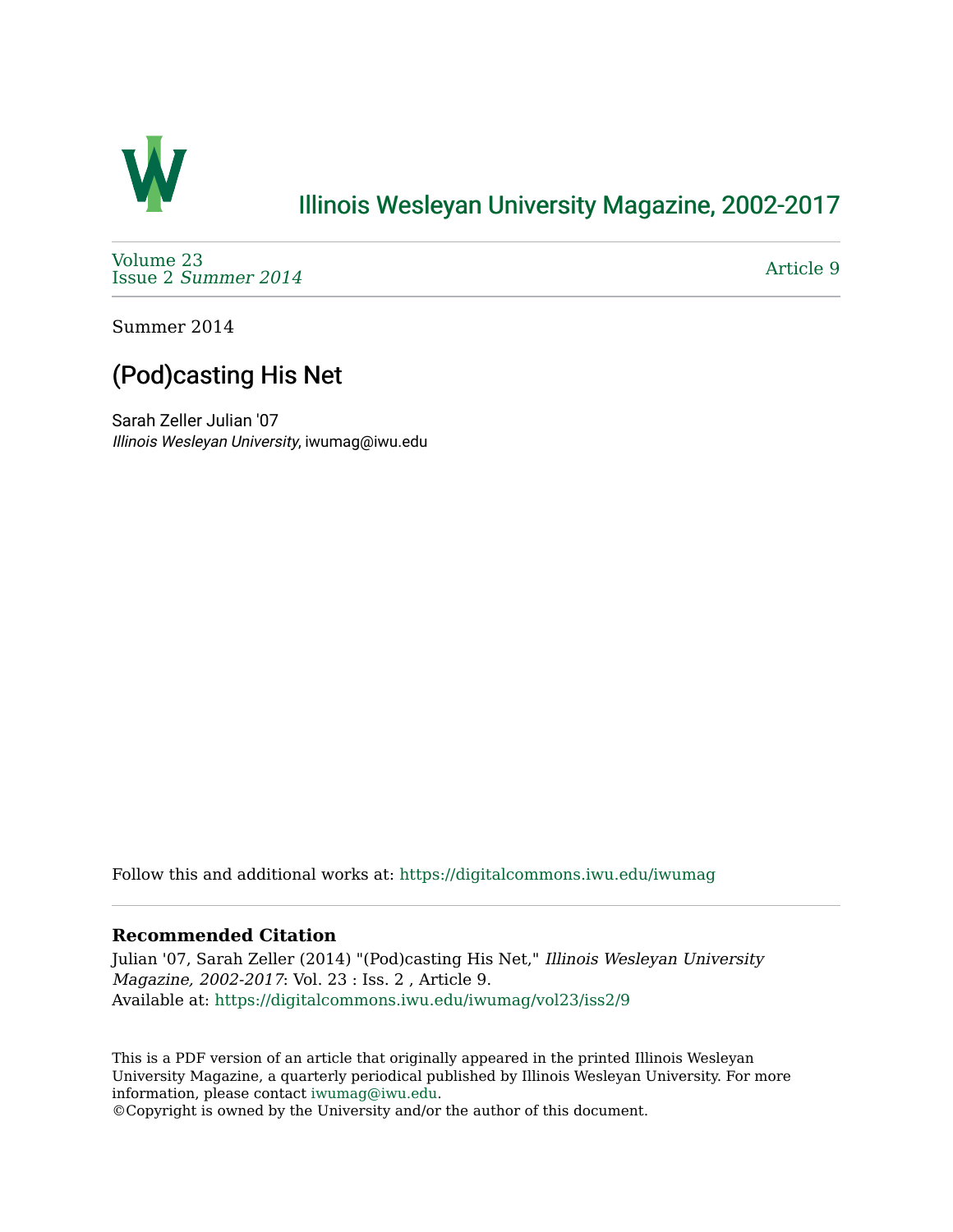

## [Illinois Wesleyan University Magazine, 2002-2017](https://digitalcommons.iwu.edu/iwumag)

[Volume 23](https://digitalcommons.iwu.edu/iwumag/vol23)  Issue 2 [Summer 2014](https://digitalcommons.iwu.edu/iwumag/vol23/iss2) 

[Article 9](https://digitalcommons.iwu.edu/iwumag/vol23/iss2/9) 

Summer 2014

## (Pod)casting His Net

Sarah Zeller Julian '07 Illinois Wesleyan University, iwumag@iwu.edu

Follow this and additional works at: [https://digitalcommons.iwu.edu/iwumag](https://digitalcommons.iwu.edu/iwumag?utm_source=digitalcommons.iwu.edu%2Fiwumag%2Fvol23%2Fiss2%2F9&utm_medium=PDF&utm_campaign=PDFCoverPages) 

## **Recommended Citation**

Julian '07, Sarah Zeller (2014) "(Pod)casting His Net," Illinois Wesleyan University Magazine, 2002-2017: Vol. 23 : Iss. 2 , Article 9. Available at: [https://digitalcommons.iwu.edu/iwumag/vol23/iss2/9](https://digitalcommons.iwu.edu/iwumag/vol23/iss2/9?utm_source=digitalcommons.iwu.edu%2Fiwumag%2Fvol23%2Fiss2%2F9&utm_medium=PDF&utm_campaign=PDFCoverPages)

This is a PDF version of an article that originally appeared in the printed Illinois Wesleyan University Magazine, a quarterly periodical published by Illinois Wesleyan University. For more information, please contact [iwumag@iwu.edu](mailto:iwumag@iwu.edu).

©Copyright is owned by the University and/or the author of this document.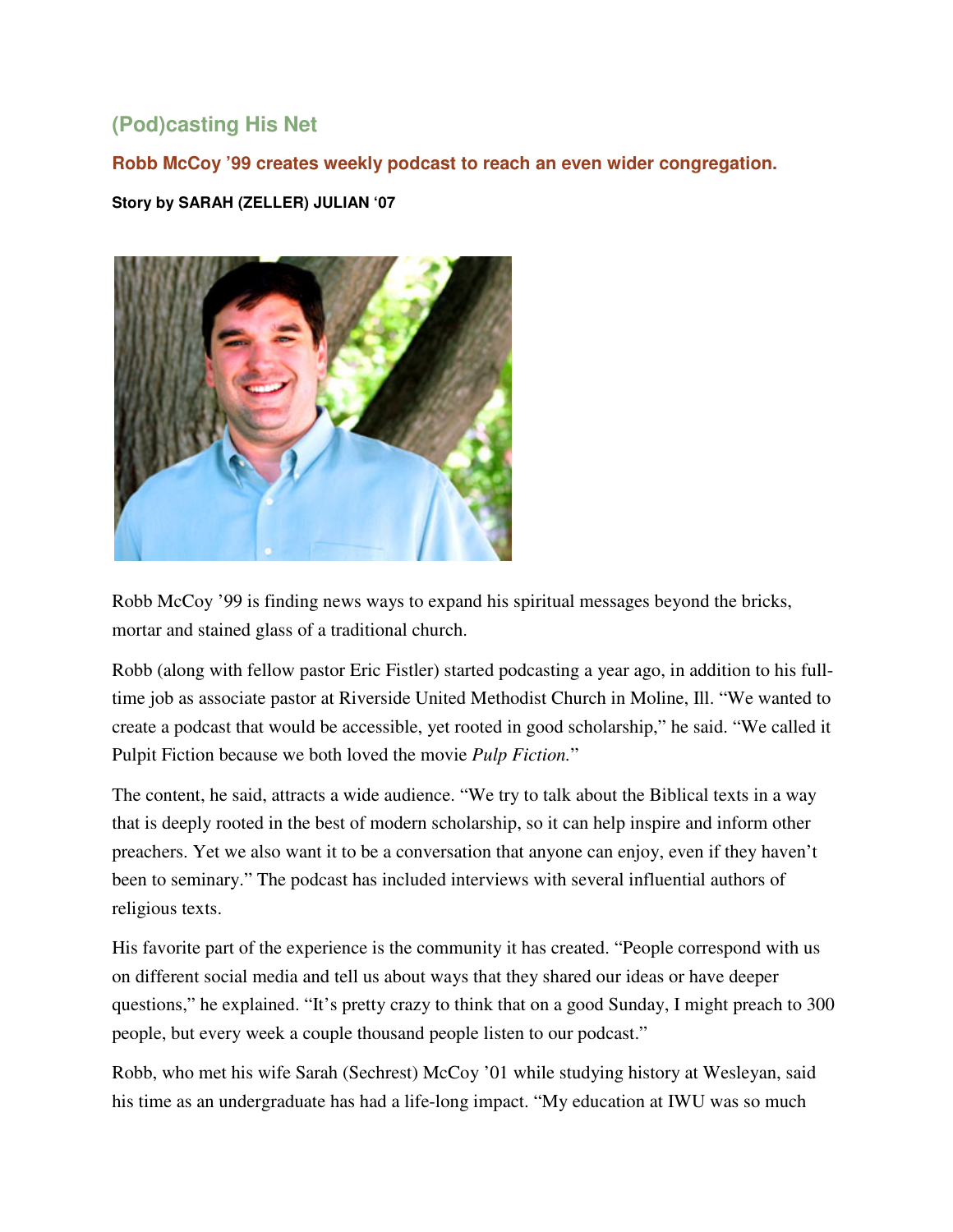## **(Pod)casting His Net**

**Robb McCoy '99 creates weekly podcast to reach an even wider congregation.** 

**Story by SARAH (ZELLER) JULIAN '07** 



Robb McCoy '99 is finding news ways to expand his spiritual messages beyond the bricks, mortar and stained glass of a traditional church.

Robb (along with fellow pastor Eric Fistler) started podcasting a year ago, in addition to his fulltime job as associate pastor at Riverside United Methodist Church in Moline, Ill. "We wanted to create a podcast that would be accessible, yet rooted in good scholarship," he said. "We called it Pulpit Fiction because we both loved the movie *Pulp Fiction.*"

The content, he said, attracts a wide audience. "We try to talk about the Biblical texts in a way that is deeply rooted in the best of modern scholarship, so it can help inspire and inform other preachers. Yet we also want it to be a conversation that anyone can enjoy, even if they haven't been to seminary." The podcast has included interviews with several influential authors of religious texts.

His favorite part of the experience is the community it has created. "People correspond with us on different social media and tell us about ways that they shared our ideas or have deeper questions," he explained. "It's pretty crazy to think that on a good Sunday, I might preach to 300 people, but every week a couple thousand people listen to our podcast."

Robb, who met his wife Sarah (Sechrest) McCoy '01 while studying history at Wesleyan, said his time as an undergraduate has had a life-long impact. "My education at IWU was so much